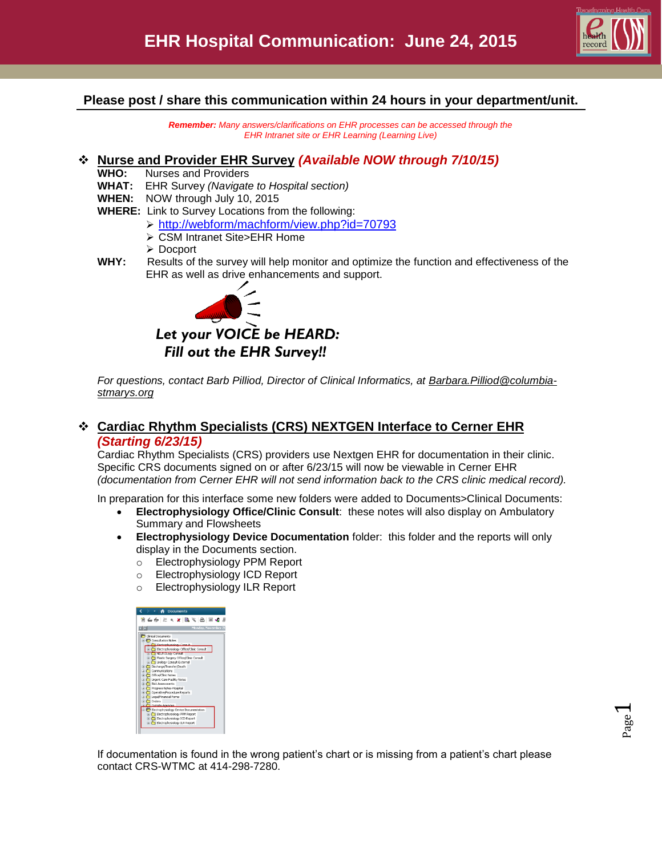

#### **Please post / share this communication within 24 hours in your department/unit.**

*Remember: Many answers/clarifications on EHR processes can be accessed through the EHR Intranet site or EHR Learning (Learning Live)*

#### **Nurse and Provider EHR Survey** *(Available NOW through 7/10/15)*

- **WHO:** Nurses and Providers
- **WHAT:** EHR Survey *(Navigate to Hospital section)*
- **WHEN:** NOW through July 10, 2015
- **WHERE:** Link to Survey Locations from the following:
	- <http://webform/machform/view.php?id=70793>
	- CSM Intranet Site>EHR Home
	- Docport
- **WHY:** Results of the survey will help monitor and optimize the function and effectiveness of the EHR as well as drive enhancements and support.



For questions, contact Barb Pilliod, Director of Clinical Informatics, at **Barbara.Pilliod@columbia***[stmarys.org](mailto:Barbara.Pilliod@columbia-stmarys.org)*

### **Cardiac Rhythm Specialists (CRS) NEXTGEN Interface to Cerner EHR**  *(Starting 6/23/15)*

Cardiac Rhythm Specialists (CRS) providers use Nextgen EHR for documentation in their clinic. Specific CRS documents signed on or after 6/23/15 will now be viewable in Cerner EHR *(documentation from Cerner EHR will not send information back to the CRS clinic medical record).*

In preparation for this interface some new folders were added to Documents>Clinical Documents:

- **Electrophysiology Office/Clinic Consult**: these notes will also display on Ambulatory Summary and Flowsheets
- **Electrophysiology Device Documentation** folder: this folder and the reports will only display in the Documents section.
	- o Electrophysiology PPM Report
	- o Electrophysiology ICD Report
	- o Electrophysiology ILR Report

| Monday, November 26                             |
|-------------------------------------------------|
|                                                 |
| Cinical Documents                               |
| Consultation Notes                              |
| <sup>Ph</sup> Flechrochusinkow Consult          |
| Electrophysiology Office/Clinic Consult         |
| <b>NELROLOGY Consult</b>                        |
| Plastic Surgery Office/Clinic Consult           |
| D C Urology Consult-External                    |
| Discharge/Transfer/Death                        |
| $\leftarrow$ Communications                     |
| C Office/Clinic Notes                           |
| The Urgent Care Facility Notes                  |
| <b>Pick Assessments</b>                         |
| <b>E</b> Progress Notes-Hospital                |
| Operative/Procedure Reports                     |
| Legal/Financial Forms                           |
| <b>n</b> Orders                                 |
| Cubside Agencies                                |
| <b>P</b> Electrophysiology Device Documentation |
| Electrophysiology PPM Report                    |
| Electrophysiology ICD Report                    |
| Electrophysiology ILR Report                    |

If documentation is found in the wrong patient's chart or is missing from a patient's chart please contact CRS-WTMC at 414-298-7280.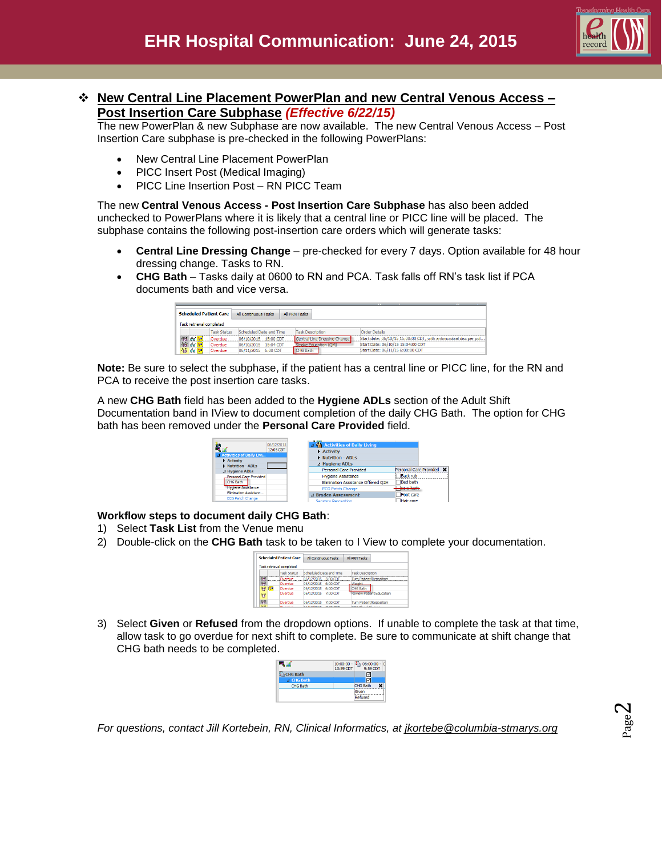

## **New Central Line Placement PowerPlan and new Central Venous Access – Post Insertion Care Subphase** *(Effective 6/22/15)*

The new PowerPlan & new Subphase are now available. The new Central Venous Access – Post Insertion Care subphase is pre-checked in the following PowerPlans:

- New Central Line Placement PowerPlan
- PICC Insert Post (Medical Imaging)
- PICC Line Insertion Post RN PICC Team

The new **Central Venous Access - Post Insertion Care Subphase** has also been added unchecked to PowerPlans where it is likely that a central line or PICC line will be placed. The subphase contains the following post-insertion care orders which will generate tasks:

- **Central Line Dressing Change** pre-checked for every 7 days. Option available for 48 hour dressing change. Tasks to RN.
- **CHG Bath** Tasks daily at 0600 to RN and PCA. Task falls off RN's task list if PCA documents bath and vice versa.

|               |                          | <b>Scheduled Patient Care</b> | All Continuous Tasks    |           | <b>All PRN Tasks</b> |                         |                              |                                                                    |  |
|---------------|--------------------------|-------------------------------|-------------------------|-----------|----------------------|-------------------------|------------------------------|--------------------------------------------------------------------|--|
|               | Task retrieval completed |                               |                         |           |                      |                         |                              |                                                                    |  |
|               |                          | <b>Task Status</b>            | Scheduled Date and Time |           |                      | <b>Task Description</b> |                              | <b>Order Details</b>                                               |  |
|               | 98 66 -                  | Overdue                       | 06/10/2015 15:00 CDT    |           |                      |                         | Central Line Dressing Change | Start date: 06/10/15 15:00:00 CDT, with antimicrobial disc per pol |  |
|               | 1996 66 <b>1-4</b>       | Overdue                       | 06/10/2015              | 15:04 CDT |                      |                         | <b>Stroke Education (OM)</b> | Start Date: 06/10/15 15:04:00 CDT                                  |  |
| $\mathcal{H}$ | $66$                     | Overdue                       | 06/11/2015              | 6:00 CDT  |                      | CHG Bath                |                              | Start Date: 06/11/15 6:00:00 CDT                                   |  |

**Note:** Be sure to select the subphase, if the patient has a central line or PICC line, for the RN and PCA to receive the post insertion care tasks.

A new **CHG Bath** field has been added to the **Hygiene ADLs** section of the Adult Shift Documentation band in IView to document completion of the daily CHG Bath. The option for CHG bath has been removed under the **Personal Care Provided** field.



**Workflow steps to document daily CHG Bath**:

- 1) Select **Task List** from the Venue menu
- 2) Double-click on the **CHG Bath** task to be taken to I View to complete your documentation.

|                | <b>Scheduled Patient Care</b> | All Continuous Tasks     | All PRN Tasks                   |
|----------------|-------------------------------|--------------------------|---------------------------------|
|                | Task retrieval completed      |                          |                                 |
|                | <b>Task Status</b>            | Scheduled Date and Time  | <b>Task Description</b>         |
| $\overline{H}$ | Overdue                       | 06/12/2015 5:00 CDT      | <b>Turn Patient/Reposition</b>  |
| 哲智             | Overdue                       | 06/12/2015 6:00 CDT      | <b><i>SAASTALLE</i></b>         |
| œ              | Overdue                       | 06/12/2015 6:00 CDT      | CHG Bath                        |
| 穆              | Overdue                       | 06/12/2015 7:00 CDT      | <b>Review Patient Education</b> |
| 符              | Overdue                       | 06/12/2015<br>$7:00$ CDT | <b>Turn Patient/Reposition</b>  |
| 8.68           | Oriental con                  | or liningst<br>2,30,007  | boomer-change                   |

3) Select **Given** or **Refused** from the dropdown options. If unable to complete the task at that time, allow task to go overdue for next shift to complete. Be sure to communicate at shift change that CHG bath needs to be completed.



*For questions, contact Jill Kortebein, RN, Clinical Informatics, at [jkortebe@columbia-stmarys.org](mailto:jkortebe@columbia-stmarys.org)*